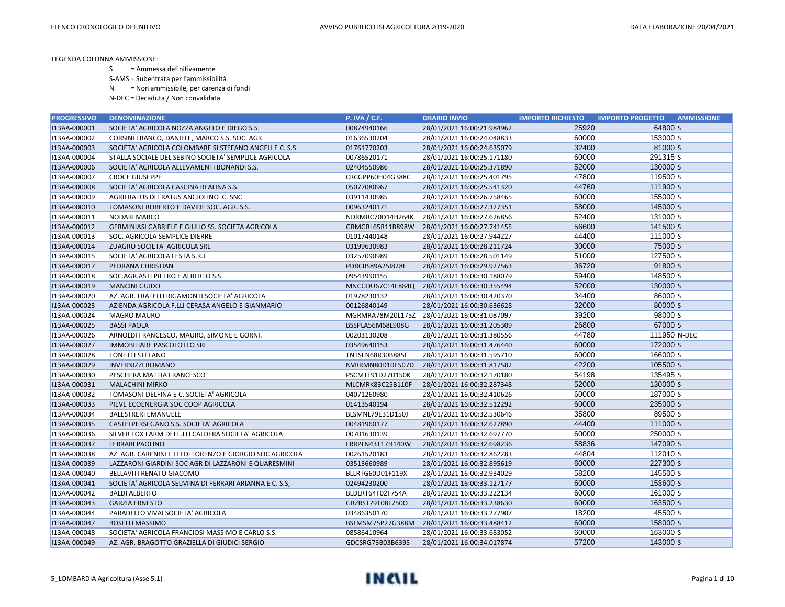S = Ammessa definitivamente

S-AMS = Subentrata per l'ammissibilità

N = Non ammissibile, per carenza di fondi

| <b>PROGRESSIVO</b> | <b>DENOMINAZIONE</b>                                      | <b>P. IVA / C.F.</b> | <b>ORARIO INVIO</b>        | <b>IMPORTO RICHIESTO</b> | <b>IMPORTO PROGETTO</b><br><b>AMMISSIONE</b> |
|--------------------|-----------------------------------------------------------|----------------------|----------------------------|--------------------------|----------------------------------------------|
| I13AA-000001       | SOCIETA' AGRICOLA NOZZA ANGELO E DIEGO S.S.               | 00874940166          | 28/01/2021 16:00:21.984962 | 25920                    | 64800 S                                      |
| I13AA-000002       | CORSINI FRANCO, DANIELE, MARCO S.S. SOC. AGR.             | 01636530204          | 28/01/2021 16:00:24.048833 | 60000                    | 153000 S                                     |
| I13AA-000003       | SOCIETA' AGRICOLA COLOMBARE SI STEFANO ANGELI E C. S.S.   | 01761770203          | 28/01/2021 16:00:24.635079 | 32400                    | 81000 S                                      |
| I13AA-000004       | STALLA SOCIALE DEL SEBINO SOCIETA' SEMPLICE AGRICOLA      | 00786520171          | 28/01/2021 16:00:25.171180 | 60000                    | 291315 S                                     |
| I13AA-000006       | SOCIETA' AGRICOLA ALLEVAMENTI BONANDI S.S.                | 02404550986          | 28/01/2021 16:00:25.371890 | 52000                    | 130000 S                                     |
| I13AA-000007       | <b>CROCE GIUSEPPE</b>                                     | CRCGPP60H04G388C     | 28/01/2021 16:00:25.401795 | 47800                    | 119500 S                                     |
| I13AA-000008       | SOCIETA' AGRICOLA CASCINA REALINA S.S.                    | 05077080967          | 28/01/2021 16:00:25.541320 | 44760                    | 111900 S                                     |
| I13AA-000009       | AGRIFRATUS DI FRATUS ANGIOLINO C. SNC                     | 03911430985          | 28/01/2021 16:00:26.758465 | 60000                    | 155000 S                                     |
| I13AA-000010       | TOMASONI ROBERTO E DAVIDE SOC. AGR. S.S.                  | 00963240171          | 28/01/2021 16:00:27.327351 | 58000                    | 145000 S                                     |
| I13AA-000011       | NODARI MARCO                                              | NDRMRC70D14H264K     | 28/01/2021 16:00:27.626856 | 52400                    | 131000 S                                     |
| I13AA-000012       | <b>GERMINIASI GABRIELE E GIULIO SS. SOCIETA AGRICOLA</b>  | GRMGRL65R11B898W     | 28/01/2021 16:00:27.741455 | 56600                    | 141500 S                                     |
| I13AA-000013       | SOC. AGRICOLA SEMPLICE DIERRE                             | 01017440148          | 28/01/2021 16:00:27.944227 | 44400                    | 111000 S                                     |
| I13AA-000014       | ZUAGRO SOCIETA' AGRICOLA SRL                              | 03199630983          | 28/01/2021 16:00:28.211724 | 30000                    | 75000 S                                      |
| I13AA-000015       | SOCIETA' AGRICOLA FESTA S.R.L                             | 03257090989          | 28/01/2021 16:00:28.501149 | 51000                    | 127500 S                                     |
| I13AA-000017       | PEDRANA CHRISTIAN                                         | PDRCRS89A25I828E     | 28/01/2021 16:00:29.927563 | 36720                    | 91800 S                                      |
| I13AA-000018       | SOC.AGR.ASTI PIETRO E ALBERTO S.S.                        | 09543990155          | 28/01/2021 16:00:30.188079 | 59400                    | 148500 S                                     |
| I13AA-000019       | <b>MANCINI GUIDO</b>                                      | MNCGDU67C14E884Q     | 28/01/2021 16:00:30.355494 | 52000                    | 130000 S                                     |
| I13AA-000020       | AZ. AGR. FRATELLI RIGAMONTI SOCIETA' AGRICOLA             | 01978230132          | 28/01/2021 16:00:30.420370 | 34400                    | 86000 S                                      |
| I13AA-000023       | AZIENDA AGRICOLA F.LLI CERASA ANGELO E GIANMARIO          | 00126840149          | 28/01/2021 16:00:30.636628 | 32000                    | 80000 S                                      |
| I13AA-000024       | <b>MAGRO MAURO</b>                                        | MGRMRA78M20L175Z     | 28/01/2021 16:00:31.087097 | 39200                    | 98000 S                                      |
| I13AA-000025       | <b>BASSI PAOLA</b>                                        | BSSPLA56M68L908G     | 28/01/2021 16:00:31.205309 | 26800                    | 67000 S                                      |
| I13AA-000026       | ARNOLDI FRANCESCO, MAURO, SIMONE E GORNI.                 | 00203130208          | 28/01/2021 16:00:31.380556 | 44780                    | 111950 N-DEC                                 |
| I13AA-000027       | IMMOBILIARE PASCOLOTTO SRL                                | 03549640153          | 28/01/2021 16:00:31.476440 | 60000                    | 172000 S                                     |
| I13AA-000028       | <b>TONETTI STEFANO</b>                                    | TNTSFN68R30B885F     | 28/01/2021 16:00:31.595710 | 60000                    | 166000 S                                     |
| I13AA-000029       | <b>INVERNIZZI ROMANO</b>                                  | NVRRMN80D10E507D     | 28/01/2021 16:00:31.817582 | 42200                    | 105500 S                                     |
| I13AA-000030       | PESCHERA MATTIA FRANCESCO                                 | PSCMTF91D27D150K     | 28/01/2021 16:00:32.170180 | 54198                    | 135495 S                                     |
| I13AA-000031       | <b>MALACHINI MIRKO</b>                                    | MLCMRK83C25B110F     | 28/01/2021 16:00:32.287348 | 52000                    | 130000 S                                     |
| I13AA-000032       | TOMASONI DELFINA E C. SOCIETA' AGRICOLA                   | 04071260980          | 28/01/2021 16:00:32.410626 | 60000                    | 187000 S                                     |
| I13AA-000033       | PIEVE ECOENERGIA SOC COOP AGRICOLA                        | 01413540194          | 28/01/2021 16:00:32.512292 | 60000                    | 235000 S                                     |
| I13AA-000034       | <b>BALESTRERI EMANUELE</b>                                | BLSMNL79E31D150J     | 28/01/2021 16:00:32.530646 | 35800                    | 89500 S                                      |
| I13AA-000035       | CASTELPERSEGANO S.S. SOCIETA' AGRICOLA                    | 00481960177          | 28/01/2021 16:00:32.627890 | 44400                    | 111000 S                                     |
| I13AA-000036       | SILVER FOX FARM DEI F.LLI CALDERA SOCIETA' AGRICOLA       | 00701630139          | 28/01/2021 16:00:32.697770 | 60000                    | 250000 S                                     |
| I13AA-000037       | <b>FERRARI PAOLINO</b>                                    | FRRPLN43T17H140W     | 28/01/2021 16:00:32.698236 | 58836                    | 147090 S                                     |
| I13AA-000038       | AZ. AGR. CARENINI F.LLI DI LORENZO E GIORGIO SOC AGRICOLA | 00261520183          | 28/01/2021 16:00:32.862283 | 44804                    | 112010 S                                     |
| I13AA-000039       | LAZZARONI GIARDINI SOC AGR DI LAZZARONI E QUARESMINI      | 03513660989          | 28/01/2021 16:00:32.895619 | 60000                    | 227300 S                                     |
| I13AA-000040       | BELLAVITI RENATO GIACOMO                                  | BLLRTG60D01F119X     | 28/01/2021 16:00:32.934029 | 58200                    | 145500 S                                     |
| I13AA-000041       | SOCIETA' AGRICOLA SELMINA DI FERRARI ARIANNA E C. S.S.    | 02494230200          | 28/01/2021 16:00:33.127177 | 60000                    | 153600 S                                     |
| I13AA-000042       | <b>BALDI ALBERTO</b>                                      | BLDLRT64T02F754A     | 28/01/2021 16:00:33.222134 | 60000                    | 161000 S                                     |
| I13AA-000043       | <b>GARZIA ERNESTO</b>                                     | GRZRST79T08L750O     | 28/01/2021 16:00:33.238630 | 60000                    | 163500 S                                     |
| I13AA-000044       | PARADELLO VIVAI SOCIETA' AGRICOLA                         | 03486350170          | 28/01/2021 16:00:33.277907 | 18200                    | 45500 S                                      |
| I13AA-000047       | <b>BOSELLI MASSIMO</b>                                    | BSLMSM75P27G388M     | 28/01/2021 16:00:33.488412 | 60000                    | 158000 S                                     |
| I13AA-000048       | SOCIETA' AGRICOLA FRANCIOSI MASSIMO E CARLO S.S.          | 08586410964          | 28/01/2021 16:00:33.683052 | 60000                    | 163000 S                                     |
| I13AA-000049       | AZ. AGR. BRAGOTTO GRAZIELLA DI GIUDICI SERGIO             | GDCSRG73B03B639S     | 28/01/2021 16:00:34.017874 | 57200                    | 143000 S                                     |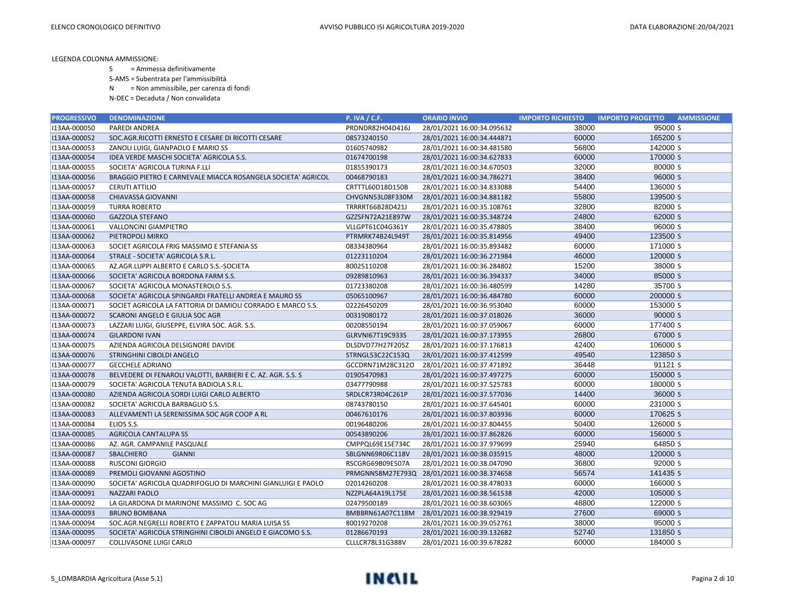S = Ammessa definitivamente

S-AMS = Subentrata per l'ammissibilità

N = Non ammissibile, per carenza di fondi

| <b>PROGRESSIVO</b> | <b>DENOMINAZIONE</b>                                         | <b>P. IVA / C.F.</b> | <b>ORARIO INVIO</b>                         | <b>IMPORTO RICHIESTO</b> | <b>IMPORTO PROGETTO</b><br><b>AMMISSIONE</b> |
|--------------------|--------------------------------------------------------------|----------------------|---------------------------------------------|--------------------------|----------------------------------------------|
| I13AA-000050       | PAREDI ANDREA                                                | PRDNDR82H04D416J     | 28/01/2021 16:00:34.095632                  | 38000                    | 95000 S                                      |
| I13AA-000052       | SOC.AGR.RICOTTI ERNESTO E CESARE DI RICOTTI CESARE           | 08573240150          | 28/01/2021 16:00:34.444871                  | 60000                    | 165200 S                                     |
| I13AA-000053       | ZANOLI LUIGI, GIANPAOLO E MARIO SS                           | 01605740982          | 28/01/2021 16:00:34.481580                  | 56800                    | 142000 S                                     |
| I13AA-000054       | IDEA VERDE MASCHI SOCIETA' AGRICOLA S.S.                     | 01674700198          | 28/01/2021 16:00:34.627833                  | 60000                    | 170000 S                                     |
| I13AA-000055       | SOCIETA' AGRICOLA TURINA F.LLI                               | 01855390173          | 28/01/2021 16:00:34.670503                  | 32000                    | 80000 S                                      |
| I13AA-000056       | BRAGGIO PIETRO E CARNEVALE MIACCA ROSANGELA SOCIETA' AGRICOL | 00468790183          | 28/01/2021 16:00:34.786271                  | 38400                    | 96000 S                                      |
| I13AA-000057       | <b>CERUTI ATTILIO</b>                                        | CRTTTL60D18D150B     | 28/01/2021 16:00:34.833088                  | 54400                    | 136000 S                                     |
| I13AA-000058       | <b>CHIAVASSA GIOVANNI</b>                                    | CHVGNN53L08F330M     | 28/01/2021 16:00:34.881182                  | 55800                    | 139500 S                                     |
| I13AA-000059       | <b>TURRA ROBERTO</b>                                         | TRRRRT66B28D421J     | 28/01/2021 16:00:35.108761                  | 32800                    | 82000 S                                      |
| I13AA-000060       | <b>GAZZOLA STEFANO</b>                                       | GZZSFN72A21E897W     | 28/01/2021 16:00:35.348724                  | 24800                    | 62000 S                                      |
| I13AA-000061       | VALLONCINI GIAMPIETRO                                        | VLLGPT61C04G361Y     | 28/01/2021 16:00:35.478805                  | 38400                    | 96000 S                                      |
| I13AA-000062       | PIETROPOLI MIRKO                                             | PTRMRK74B24L949T     | 28/01/2021 16:00:35.814956                  | 49400                    | 123500 S                                     |
| I13AA-000063       | SOCIET AGRICOLA FRIG MASSIMO E STEFANIA SS                   | 08334380964          | 28/01/2021 16:00:35.893482                  | 60000                    | 171000 S                                     |
| I13AA-000064       | STRALE - SOCIETA' AGRICOLA S.R.L.                            | 01223110204          | 28/01/2021 16:00:36.271984                  | 46000                    | 120000 S                                     |
| I13AA-000065       | AZ.AGR.LUPPI ALBERTO E CARLO S.S.-SOCIETA                    | 80025110208          | 28/01/2021 16:00:36.284802                  | 15200                    | 38000 S                                      |
| I13AA-000066       | SOCIETA' AGRICOLA BORDONA FARM S.S.                          | 09289810963          | 28/01/2021 16:00:36.394337                  | 34000                    | 85000 S                                      |
| I13AA-000067       | SOCIETA' AGRICOLA MONASTEROLO S.S.                           | 01723380208          | 28/01/2021 16:00:36.480599                  | 14280                    | 35700 S                                      |
| I13AA-000068       | SOCIETA' AGRICOLA SPINGARDI FRATELLI ANDREA E MAURO SS       | 05065100967          | 28/01/2021 16:00:36.484780                  | 60000                    | 200000 S                                     |
| I13AA-000071       | SOCIET AGRICOLA LA FATTORIA DI DAMIOLI CORRADO E MARCO S.S.  | 02226450209          | 28/01/2021 16:00:36.953040                  | 60000                    | 153000 S                                     |
| I13AA-000072       | SCARONI ANGELO E GIULIA SOC AGR                              | 00319080172          | 28/01/2021 16:00:37.018026                  | 36000                    | 90000 S                                      |
| I13AA-000073       | LAZZARI LUIGI, GIUSEPPE, ELVIRA SOC. AGR. S.S.               | 00208550194          | 28/01/2021 16:00:37.059067                  | 60000                    | 177400 S                                     |
| I13AA-000074       | <b>GILARDONI IVAN</b>                                        | GLRVNI67T19C933S     | 28/01/2021 16:00:37.173955                  | 26800                    | 67000 S                                      |
| I13AA-000075       | AZIENDA AGRICOLA DELSIGNORE DAVIDE                           | DLSDVD77H27F205Z     | 28/01/2021 16:00:37.176813                  | 42400                    | 106000 S                                     |
| I13AA-000076       | STRINGHINI CIBOLDI ANGELO                                    | STRNGL53C22C153Q     | 28/01/2021 16:00:37.412599                  | 49540                    | 123850 S                                     |
| I13AA-000077       | <b>GECCHELE ADRIANO</b>                                      | GCCDRN71M28C312O     | 28/01/2021 16:00:37.471892                  | 36448                    | 91121 S                                      |
| I13AA-000078       | BELVEDERE DI FENAROLI VALOTTI, BARBIERI E C. AZ. AGR. S.S. S | 01905470983          | 28/01/2021 16:00:37.497275                  | 60000                    | 150000 S                                     |
| I13AA-000079       | SOCIETA' AGRICOLA TENUTA BADIOLA S.R.L.                      | 03477790988          | 28/01/2021 16:00:37.525783                  | 60000                    | 180000 S                                     |
| I13AA-000080       | AZIENDA AGRICOLA SORDI LUIGI CARLO ALBERTO                   | SRDLCR73R04C261P     | 28/01/2021 16:00:37.577036                  | 14400                    | 36000 S                                      |
| I13AA-000082       | SOCIETA' AGRICOLA BARBAGLIO S.S.                             | 08743780150          | 28/01/2021 16:00:37.645401                  | 60000                    | 231000 S                                     |
| I13AA-000083       | ALLEVAMENTI LA SERENISSIMA SOC AGR COOP A RL                 | 00467610176          | 28/01/2021 16:00:37.803936                  | 60000                    | 170625 S                                     |
| I13AA-000084       | ELIOS S.S.                                                   | 00196480206          | 28/01/2021 16:00:37.804455                  | 50400                    | 126000 S                                     |
| I13AA-000085       | <b>AGRICOLA CANTALUPA SS</b>                                 | 00543890206          | 28/01/2021 16:00:37.862826                  | 60000                    | 156000 S                                     |
| I13AA-000086       | AZ. AGR. CAMPANILE PASQUALE                                  | CMPPQL69E15E734C     | 28/01/2021 16:00:37.979699                  | 25940                    | 64850 S                                      |
| I13AA-000087       | SBALCHIERO<br><b>GIANNI</b>                                  | SBLGNN69R06C118V     | 28/01/2021 16:00:38.035915                  | 48000                    | 120000 S                                     |
| I13AA-000088       | RUSCONI GIORGIO                                              | RSCGRG69B09E507A     | 28/01/2021 16:00:38.047090                  | 36800                    | 92000 S                                      |
| I13AA-000089       | PREMOLI GIOVANNI AGOSTINO                                    |                      | PRMGNN58M27E793Q 28/01/2021 16:00:38.374658 | 56574                    | 141435 S                                     |
| I13AA-000090       | SOCIETA' AGRICOLA QUADRIFOGLIO DI MARCHINI GIANLUIGI E PAOLO | 02014260208          | 28/01/2021 16:00:38.478033                  | 60000                    | 166000 S                                     |
| I13AA-000091       | <b>NAZZARI PAOLO</b>                                         | NZZPLA64A19L175E     | 28/01/2021 16:00:38.561538                  | 42000                    | 105000 S                                     |
| I13AA-000092       | LA GILARDONA DI MARINONE MASSIMO C. SOC AG                   | 02479500189          | 28/01/2021 16:00:38.603065                  | 48800                    | 122000 S                                     |
| I13AA-000093       | <b>BRUNO BOMBANA</b>                                         | BMBBRN61A07C118M     | 28/01/2021 16:00:38.929419                  | 27600                    | 69000 S                                      |
| I13AA-000094       | SOC.AGR.NEGRELLI ROBERTO E ZAPPATOLI MARIA LUISA SS          | 80019270208          | 28/01/2021 16:00:39.052761                  | 38000                    | 95000 S                                      |
| I13AA-000095       | SOCIETA' AGRICOLA STRINGHINI CIBOLDI ANGELO E GIACOMO S.S.   | 01286670193          | 28/01/2021 16:00:39.132682                  | 52740                    | 131850 S                                     |
| I13AA-000097       | COLLIVASONE LUIGI CARLO                                      | CLLLCR78L31G388V     | 28/01/2021 16:00:39.678282                  | 60000                    | 184000 S                                     |

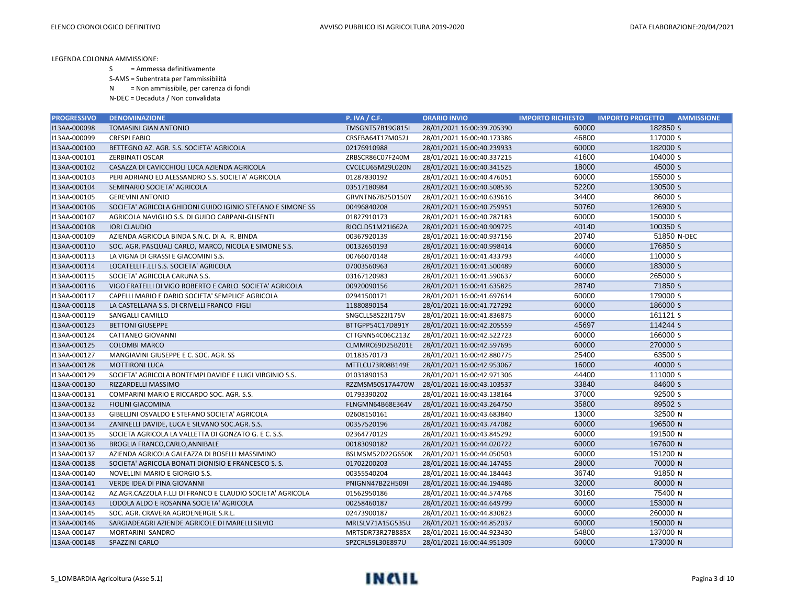- S = Ammessa definitivamente
- S-AMS = Subentrata per l'ammissibilità
- N = Non ammissibile, per carenza di fondi
- N-DEC = Decaduta / Non convalidata

| <b>PROGRESSIVO</b> | <b>DENOMINAZIONE</b>                                       | <b>P. IVA / C.F.</b> | <b>ORARIO INVIO</b>        | <b>IMPORTO RICHIESTO</b> | <b>IMPORTO PROGETTO</b><br><b>AMMISSIONE</b> |
|--------------------|------------------------------------------------------------|----------------------|----------------------------|--------------------------|----------------------------------------------|
| I13AA-000098       | <b>TOMASINI GIAN ANTONIO</b>                               | TMSGNT57B19G815I     | 28/01/2021 16:00:39.705390 | 60000                    | 182850 S                                     |
| I13AA-000099       | <b>CRESPI FABIO</b>                                        | CRSFBA64T17M052J     | 28/01/2021 16:00:40.173386 | 46800                    | 117000 S                                     |
| I13AA-000100       | BETTEGNO AZ. AGR. S.S. SOCIETA' AGRICOLA                   | 02176910988          | 28/01/2021 16:00:40.239933 | 60000                    | 182000 S                                     |
| I13AA-000101       | <b>ZERBINATI OSCAR</b>                                     | ZRBSCR86C07F240M     | 28/01/2021 16:00:40.337215 | 41600                    | 104000 S                                     |
| I13AA-000102       | CASAZZA DI CAVICCHIOLI LUCA AZIENDA AGRICOLA               | CVCLCU65M29L020N     | 28/01/2021 16:00:40.341525 | 18000                    | 45000 S                                      |
| I13AA-000103       | PERI ADRIANO ED ALESSANDRO S.S. SOCIETA' AGRICOLA          | 01287830192          | 28/01/2021 16:00:40.476051 | 60000                    | 155000 S                                     |
| I13AA-000104       | SEMINARIO SOCIETA' AGRICOLA                                | 03517180984          | 28/01/2021 16:00:40.508536 | 52200                    | 130500 S                                     |
| I13AA-000105       | <b>GEREVINI ANTONIO</b>                                    | GRVNTN67B25D150Y     | 28/01/2021 16:00:40.639616 | 34400                    | 86000 S                                      |
| I13AA-000106       | SOCIETA' AGRICOLA GHIDONI GUIDO IGINIO STEFANO E SIMONE SS | 00496840208          | 28/01/2021 16:00:40.759951 | 50760                    | 126900 S                                     |
| I13AA-000107       | AGRICOLA NAVIGLIO S.S. DI GUIDO CARPANI-GLISENTI           | 01827910173          | 28/01/2021 16:00:40.787183 | 60000                    | 150000 S                                     |
| I13AA-000108       | <b>IORI CLAUDIO</b>                                        | RIOCLD51M21I662A     | 28/01/2021 16:00:40.909725 | 40140                    | 100350 S                                     |
| I13AA-000109       | AZIENDA AGRICOLA BINDA S.N.C. DI A. R. BINDA               | 00367920139          | 28/01/2021 16:00:40.937156 | 20740                    | 51850 N-DEC                                  |
| I13AA-000110       | SOC. AGR. PASQUALI CARLO, MARCO, NICOLA E SIMONE S.S.      | 00132650193          | 28/01/2021 16:00:40.998414 | 60000                    | 176850 S                                     |
| I13AA-000113       | LA VIGNA DI GRASSI E GIACOMINI S.S.                        | 00766070148          | 28/01/2021 16:00:41.433793 | 44000                    | 110000 S                                     |
| I13AA-000114       | LOCATELLI F.LLI S.S. SOCIETA' AGRICOLA                     | 07003560963          | 28/01/2021 16:00:41.500489 | 60000                    | 183000 S                                     |
| I13AA-000115       | SOCIETA' AGRICOLA CARUNA S.S.                              | 03167120983          | 28/01/2021 16:00:41.590637 | 60000                    | 265000 S                                     |
| I13AA-000116       | VIGO FRATELLI DI VIGO ROBERTO E CARLO SOCIETA' AGRICOLA    | 00920090156          | 28/01/2021 16:00:41.635825 | 28740                    | 71850 S                                      |
| I13AA-000117       | CAPELLI MARIO E DARIO SOCIETA' SEMPLICE AGRICOLA           | 02941500171          | 28/01/2021 16:00:41.697614 | 60000                    | 179000 S                                     |
| I13AA-000118       | LA CASTELLANA S.S. DI CRIVELLI FRANCO FIGLI                | 11880890154          | 28/01/2021 16:00:41.727292 | 60000                    | 186000 S                                     |
| I13AA-000119       | SANGALLI CAMILLO                                           | SNGCLL58S22I175V     | 28/01/2021 16:00:41.836875 | 60000                    | 161121 S                                     |
| I13AA-000123       | <b>BETTONI GIUSEPPE</b>                                    | BTTGPP54C17D891Y     | 28/01/2021 16:00:42.205559 | 45697                    | 114244 S                                     |
| I13AA-000124       | CATTANEO GIOVANNI                                          | CTTGNN54C06C213Z     | 28/01/2021 16:00:42.522723 | 60000                    | 166000 S                                     |
| I13AA-000125       | <b>COLOMBI MARCO</b>                                       | CLMMRC69D25B201E     | 28/01/2021 16:00:42.597695 | 60000                    | 270000 S                                     |
| I13AA-000127       | MANGIAVINI GIUSEPPE E C. SOC. AGR. SS                      | 01183570173          | 28/01/2021 16:00:42.880775 | 25400                    | 63500 S                                      |
| I13AA-000128       | <b>MOTTIRONI LUCA</b>                                      | MTTLCU73R08B149E     | 28/01/2021 16:00:42.953067 | 16000                    | 40000 S                                      |
| I13AA-000129       | SOCIETA' AGRICOLA BONTEMPI DAVIDE E LUIGI VIRGINIO S.S.    | 01031890153          | 28/01/2021 16:00:42.971306 | 44400                    | 111000 S                                     |
| I13AA-000130       | RIZZARDELLI MASSIMO                                        | RZZMSM50S17A470W     | 28/01/2021 16:00:43.103537 | 33840                    | 84600 S                                      |
| I13AA-000131       | COMPARINI MARIO E RICCARDO SOC. AGR. S.S.                  | 01793390202          | 28/01/2021 16:00:43.138164 | 37000                    | 92500 S                                      |
| I13AA-000132       | <b>FIOLINI GIACOMINA</b>                                   | FLNGMN64B68E364V     | 28/01/2021 16:00:43.264750 | 35800                    | 89502 S                                      |
| I13AA-000133       | GIBELLINI OSVALDO E STEFANO SOCIETA' AGRICOLA              | 02608150161          | 28/01/2021 16:00:43.683840 | 13000                    | 32500 N                                      |
| I13AA-000134       | ZANINELLI DAVIDE, LUCA E SILVANO SOC.AGR. S.S.             | 00357520196          | 28/01/2021 16:00:43.747082 | 60000                    | 196500 N                                     |
| I13AA-000135       | SOCIETA AGRICOLA LA VALLETTA DI GONZATO G. E C. S.S.       | 02364770129          | 28/01/2021 16:00:43.845292 | 60000                    | 191500 N                                     |
| I13AA-000136       | BROGLIA FRANCO, CARLO, ANNIBALE                            | 00183090182          | 28/01/2021 16:00:44.020722 | 60000                    | 167600 N                                     |
| I13AA-000137       | AZIENDA AGRICOLA GALEAZZA DI BOSELLI MASSIMINO             | BSLMSM52D22G650K     | 28/01/2021 16:00:44.050503 | 60000                    | 151200 N                                     |
| I13AA-000138       | SOCIETA' AGRICOLA BONATI DIONISIO E FRANCESCO S. S.        | 01702200203          | 28/01/2021 16:00:44.147455 | 28000                    | 70000 N                                      |
| I13AA-000140       | NOVELLINI MARIO E GIORGIO S.S.                             | 00355540204          | 28/01/2021 16:00:44.184443 | 36740                    | 91850 N                                      |
| I13AA-000141       | VERDE IDEA DI PINA GIOVANNI                                | PNIGNN47B22H509I     | 28/01/2021 16:00:44.194486 | 32000                    | 80000 N                                      |
| I13AA-000142       | AZ.AGR.CAZZOLA F.LLI DI FRANCO E CLAUDIO SOCIETA' AGRICOLA | 01562950186          | 28/01/2021 16:00:44.574768 | 30160                    | 75400 N                                      |
| I13AA-000143       | LODOLA ALDO E ROSANNA SOCIETA' AGRICOLA                    | 00258460187          | 28/01/2021 16:00:44.649799 | 60000                    | 153000 N                                     |
| I13AA-000145       | SOC. AGR. CRAVERA AGROENERGIE S.R.L.                       | 02473900187          | 28/01/2021 16:00:44.830823 | 60000                    | 260000 N                                     |
| I13AA-000146       | SARGIADEAGRI AZIENDE AGRICOLE DI MARELLI SILVIO            | MRLSLV71A15G535U     | 28/01/2021 16:00:44.852037 | 60000                    | 150000 N                                     |
| I13AA-000147       | MORTARINI SANDRO                                           | MRTSDR73R27B885X     | 28/01/2021 16:00:44.923430 | 54800                    | 137000 N                                     |
| I13AA-000148       | SPAZZINI CARLO                                             | SPZCRL59L30E897U     | 28/01/2021 16:00:44.951309 | 60000                    | 173000 N                                     |

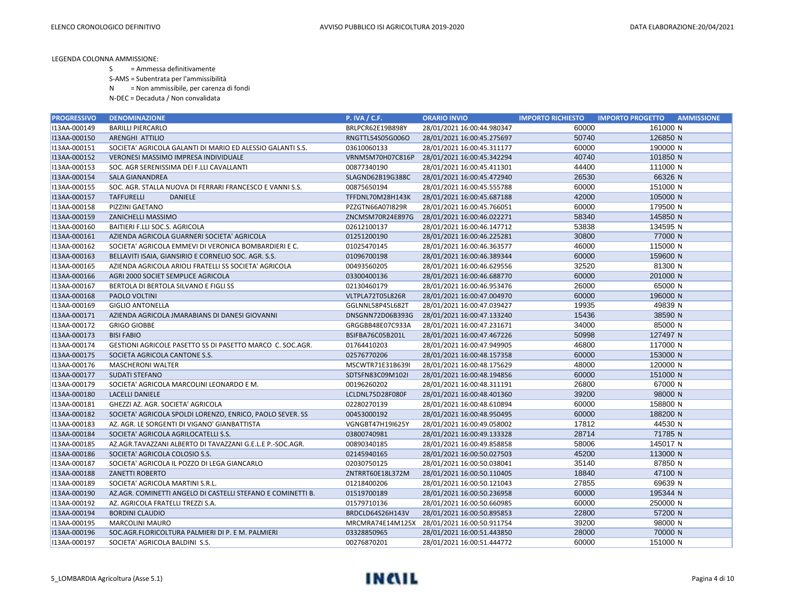- S = Ammessa definitivamente
- S-AMS = Subentrata per l'ammissibilità
- N = Non ammissibile, per carenza di fondi
- N-DEC = Decaduta / Non convalidata

| <b>PROGRESSIVO</b> | <b>DENOMINAZIONE</b>                                        | <b>P. IVA / C.F.</b> | <b>ORARIO INVIO</b>        | <b>IMPORTO RICHIESTO</b> | <b>IMPORTO PROGETTO</b><br><b>AMMISSIONE</b> |
|--------------------|-------------------------------------------------------------|----------------------|----------------------------|--------------------------|----------------------------------------------|
| I13AA-000149       | <b>BARILLI PIERCARLO</b>                                    | BRLPCR62E19B898Y     | 28/01/2021 16:00:44.980347 | 60000                    | 161000 N                                     |
| I13AA-000150       | ARENGHI ATTILIO                                             | RNGTTL54S05G006O     | 28/01/2021 16:00:45.275697 | 50740                    | 126850 N                                     |
| I13AA-000151       | SOCIETA' AGRICOLA GALANTI DI MARIO ED ALESSIO GALANTI S.S.  | 03610060133          | 28/01/2021 16:00:45.311177 | 60000                    | 190000 N                                     |
| I13AA-000152       | VERONESI MASSIMO IMPRESA INDIVIDUALE                        | VRNMSM70H07C816P     | 28/01/2021 16:00:45.342294 | 40740                    | 101850 N                                     |
| I13AA-000153       | SOC. AGR SERENISSIMA DEI F.LLI CAVALLANTI                   | 00877340190          | 28/01/2021 16:00:45.411301 | 44400                    | 111000 N                                     |
| I13AA-000154       | <b>SALA GIANANDREA</b>                                      | SLAGND62B19G388C     | 28/01/2021 16:00:45.472940 | 26530                    | 66326 N                                      |
| I13AA-000155       | SOC. AGR. STALLA NUOVA DI FERRARI FRANCESCO E VANNI S.S.    | 00875650194          | 28/01/2021 16:00:45.555788 | 60000                    | 151000 N                                     |
| I13AA-000157       | <b>TAFFURELLI</b><br><b>DANIELE</b>                         | TFFDNL70M28H143K     | 28/01/2021 16:00:45.687188 | 42000                    | 105000 N                                     |
| I13AA-000158       | PIZZINI GAETANO                                             | PZZGTN66A07I829R     | 28/01/2021 16:00:45.766051 | 60000                    | 179500 N                                     |
| I13AA-000159       | ZANICHELLI MASSIMO                                          | ZNCMSM70R24E897G     | 28/01/2021 16:00:46.022271 | 58340                    | 145850 N                                     |
| I13AA-000160       | BAITIERI F.LLI SOC.S. AGRICOLA                              | 02612100137          | 28/01/2021 16:00:46.147712 | 53838                    | 134595 N                                     |
| I13AA-000161       | AZIENDA AGRICOLA GUARNERI SOCIETA' AGRICOLA                 | 01251200190          | 28/01/2021 16:00:46.225281 | 30800                    | 77000 N                                      |
| I13AA-000162       | SOCIETA' AGRICOLA EMMEVI DI VERONICA BOMBARDIERI E C.       | 01025470145          | 28/01/2021 16:00:46.363577 | 46000                    | 115000 N                                     |
| I13AA-000163       | BELLAVITI ISAIA, GIANSIRIO E CORNELIO SOC. AGR. S.S.        | 01096700198          | 28/01/2021 16:00:46.389344 | 60000                    | 159600 N                                     |
| I13AA-000165       | AZIENDA AGRICOLA ARIOLI FRATELLI SS SOCIETA' AGRICOLA       | 00493560205          | 28/01/2021 16:00:46.629556 | 32520                    | 81300 N                                      |
| I13AA-000166       | AGRI 2000 SOCIET SEMPLICE AGRICOLA                          | 03300400136          | 28/01/2021 16:00:46.688770 | 60000                    | 201000 N                                     |
| I13AA-000167       | BERTOLA DI BERTOLA SILVANO E FIGLI SS                       | 02130460179          | 28/01/2021 16:00:46.953476 | 26000                    | 65000 N                                      |
| I13AA-000168       | PAOLO VOLTINI                                               | VLTPLA72T05L826R     | 28/01/2021 16:00:47.004970 | 60000                    | 196000 N                                     |
| I13AA-000169       | <b>GIGLIO ANTONELLA</b>                                     | GGLNNL58P45L682T     | 28/01/2021 16:00:47.039427 | 19935                    | 49839 N                                      |
| I13AA-000171       | AZIENDA AGRICOLA JMARABIANS DI DANESI GIOVANNI              | DNSGNN72D06B393G     | 28/01/2021 16:00:47.133240 | 15436                    | 38590 N                                      |
| I13AA-000172       | <b>GRIGO GIOBBE</b>                                         | GRGGBB48E07C933A     | 28/01/2021 16:00:47.231671 | 34000                    | 85000 N                                      |
| I13AA-000173       | <b>BISI FABIO</b>                                           | BSIFBA76C05B201L     | 28/01/2021 16:00:47.467226 | 50998                    | 127497 N                                     |
| I13AA-000174       | GESTIONI AGRICOLE PASETTO SS DI PASETTO MARCO C. SOC.AGR.   | 01764410203          | 28/01/2021 16:00:47.949905 | 46800                    | 117000 N                                     |
| I13AA-000175       | SOCIETA AGRICOLA CANTONE S.S.                               | 02576770206          | 28/01/2021 16:00:48.157358 | 60000                    | 153000 N                                     |
| I13AA-000176       | <b>MASCHERONI WALTER</b>                                    | MSCWTR71E31B639I     | 28/01/2021 16:00:48.175629 | 48000                    | 120000 N                                     |
| I13AA-000177       | <b>SUDATI STEFANO</b>                                       | SDTSFN83C09M102I     | 28/01/2021 16:00:48.194856 | 60000                    | 151000 N                                     |
| I13AA-000179       | SOCIETA' AGRICOLA MARCOLINI LEONARDO E M.                   | 00196260202          | 28/01/2021 16:00:48.311191 | 26800                    | 67000 N                                      |
| I13AA-000180       | <b>LACELLI DANIELE</b>                                      | LCLDNL75D28F080F     | 28/01/2021 16:00:48.401360 | 39200                    | 98000 N                                      |
| I13AA-000181       | GHEZZI AZ. AGR. SOCIETA' AGRICOLA                           | 02280270139          | 28/01/2021 16:00:48.610894 | 60000                    | 158800 N                                     |
| I13AA-000182       | SOCIETA' AGRICOLA SPOLDI LORENZO, ENRICO, PAOLO SEVER. SS   | 00453000192          | 28/01/2021 16:00:48.950495 | 60000                    | 188200 N                                     |
| I13AA-000183       | AZ. AGR. LE SORGENTI DI VIGANO' GIANBATTISTA                | VGNGBT47H19I625Y     | 28/01/2021 16:00:49.058002 | 17812                    | 44530 N                                      |
| I13AA-000184       | SOCIETA' AGRICOLA AGRILOCATELLI S.S.                        | 03800740981          | 28/01/2021 16:00:49.133328 | 28714                    | 71785 N                                      |
| I13AA-000185       | AZ.AGR.TAVAZZANI ALBERTO DI TAVAZZANI G.E.L.E P.-SOC.AGR.   | 00890340185          | 28/01/2021 16:00:49.858858 | 58006                    | 145017 N                                     |
| I13AA-000186       | SOCIETA' AGRICOLA COLOSIO S.S.                              | 02145940165          | 28/01/2021 16:00:50.027503 | 45200                    | 113000 N                                     |
| I13AA-000187       | SOCIETA' AGRICOLA IL POZZO DI LEGA GIANCARLO                | 02030750125          | 28/01/2021 16:00:50.038041 | 35140                    | 87850 N                                      |
| I13AA-000188       | <b>ZANETTI ROBERTO</b>                                      | ZNTRRT60E18L372M     | 28/01/2021 16:00:50.110405 | 18840                    | 47100 N                                      |
| I13AA-000189       | SOCIETA' AGRICOLA MARTINI S.R.L.                            | 01218400206          | 28/01/2021 16:00:50.121043 | 27855                    | 69639 N                                      |
| I13AA-000190       | AZ.AGR. COMINETTI ANGELO DI CASTELLI STEFANO E COMINETTI B. | 01519700189          | 28/01/2021 16:00:50.236958 | 60000                    | 195344 N                                     |
| I13AA-000192       | AZ. AGRICOLA FRATELLI TREZZI S.A.                           | 01579710136          | 28/01/2021 16:00:50.660985 | 60000                    | 250000 N                                     |
| I13AA-000194       | <b>BORDINI CLAUDIO</b>                                      | BRDCLD64S26H143V     | 28/01/2021 16:00:50.895853 | 22800                    | 57200 N                                      |
| I13AA-000195       | <b>MARCOLINI MAURO</b>                                      | MRCMRA74E14M125X     | 28/01/2021 16:00:50.911754 | 39200                    | 98000 N                                      |
| I13AA-000196       | SOC.AGR.FLORICOLTURA PALMIERI DI P. E M. PALMIERI           | 03328850965          | 28/01/2021 16:00:51.443850 | 28000                    | 70000 N                                      |
| I13AA-000197       | SOCIETA' AGRICOLA BALDINI S.S.                              | 00276870201          | 28/01/2021 16:00:51.444772 | 60000                    | 151000 N                                     |

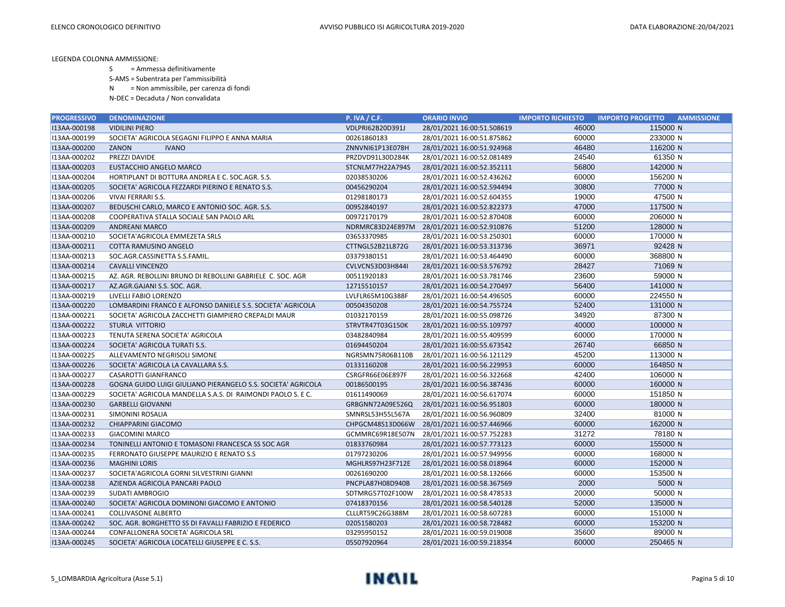- S = Ammessa definitivamente
- S-AMS = Subentrata per l'ammissibilità
- N = Non ammissibile, per carenza di fondi
- N-DEC = Decaduta / Non convalidata

| <b>PROGRESSIVO</b> | <b>DENOMINAZIONE</b>                                         | <b>P. IVA / C.F.</b> | <b>ORARIO INVIO</b>        | <b>IMPORTO RICHIESTO</b> | <b>IMPORTO PROGETTO</b><br><b>AMMISSIONE</b> |
|--------------------|--------------------------------------------------------------|----------------------|----------------------------|--------------------------|----------------------------------------------|
| I13AA-000198       | <b>VIDILINI PIERO</b>                                        | VDLPRI62B20D391J     | 28/01/2021 16:00:51.508619 | 46000                    | 115000 N                                     |
| I13AA-000199       | SOCIETA' AGRICOLA SEGAGNI FILIPPO E ANNA MARIA               | 00261860183          | 28/01/2021 16:00:51.875862 | 60000                    | 233000 N                                     |
| I13AA-000200       | ZANON<br><b>IVANO</b>                                        | ZNNVNI61P13E078H     | 28/01/2021 16:00:51.924968 | 46480                    | 116200 N                                     |
| I13AA-000202       | PREZZI DAVIDE                                                | PRZDVD91L30D284K     | 28/01/2021 16:00:52.081489 | 24540                    | 61350 N                                      |
| I13AA-000203       | EUSTACCHIO ANGELO MARCO                                      | STCNLM77H22A794S     | 28/01/2021 16:00:52.352111 | 56800                    | 142000 N                                     |
| I13AA-000204       | HORTIPLANT DI BOTTURA ANDREA E C. SOC.AGR. S.S.              | 02038530206          | 28/01/2021 16:00:52.436262 | 60000                    | 156200 N                                     |
| I13AA-000205       | SOCIETA' AGRICOLA FEZZARDI PIERINO E RENATO S.S.             | 00456290204          | 28/01/2021 16:00:52.594494 | 30800                    | 77000 N                                      |
| I13AA-000206       | VIVAI FERRARI S.S.                                           | 01298180173          | 28/01/2021 16:00:52.604355 | 19000                    | 47500 N                                      |
| I13AA-000207       | BEDUSCHI CARLO, MARCO E ANTONIO SOC. AGR. S.S.               | 00952840197          | 28/01/2021 16:00:52.822373 | 47000                    | 117500 N                                     |
| I13AA-000208       | COOPERATIVA STALLA SOCIALE SAN PAOLO ARL                     | 00972170179          | 28/01/2021 16:00:52.870408 | 60000                    | 206000 N                                     |
| I13AA-000209       | <b>ANDREANI MARCO</b>                                        | NDRMRC83D24E897M     | 28/01/2021 16:00:52.910876 | 51200                    | 128000 N                                     |
| I13AA-000210       | SOCIETA'AGRICOLA EMMEZETA SRLS                               | 03653370985          | 28/01/2021 16:00:53.250301 | 60000                    | 170000 N                                     |
| I13AA-000211       | COTTA RAMUSINO ANGELO                                        | CTTNGL52B21L872G     | 28/01/2021 16:00:53.313736 | 36971                    | 92428 N                                      |
| I13AA-000213       | SOC.AGR.CASSINETTA S.S.FAMIL.                                | 03379380151          | 28/01/2021 16:00:53.464490 | 60000                    | 368800 N                                     |
| I13AA-000214       | <b>CAVALLI VINCENZO</b>                                      | CVLVCN53D03H844I     | 28/01/2021 16:00:53.576792 | 28427                    | 71069 N                                      |
| I13AA-000215       | AZ. AGR. REBOLLINI BRUNO DI REBOLLINI GABRIELE C. SOC. AGR   | 00511920183          | 28/01/2021 16:00:53.781746 | 23600                    | 59000 N                                      |
| I13AA-000217       | AZ.AGR.GAJANI S.S. SOC. AGR.                                 | 12715510157          | 28/01/2021 16:00:54.270497 | 56400                    | 141000 N                                     |
| I13AA-000219       | LIVELLI FABIO LORENZO                                        | LVLFLR65M10G388F     | 28/01/2021 16:00:54.496505 | 60000                    | 224550 N                                     |
| I13AA-000220       | LOMBARDINI FRANCO E ALFONSO DANIELE S.S. SOCIETA' AGRICOLA   | 00504350208          | 28/01/2021 16:00:54.755724 | 52400                    | 131000 N                                     |
| I13AA-000221       | SOCIETA' AGRICOLA ZACCHETTI GIAMPIERO CREPALDI MAUR          | 01032170159          | 28/01/2021 16:00:55.098726 | 34920                    | 87300 N                                      |
| I13AA-000222       | STURLA VITTORIO                                              | STRVTR47T03G150K     | 28/01/2021 16:00:55.109797 | 40000                    | 100000 N                                     |
| I13AA-000223       | TENUTA SERENA SOCIETA' AGRICOLA                              | 03482840984          | 28/01/2021 16:00:55.409599 | 60000                    | 170000 N                                     |
| I13AA-000224       | SOCIETA' AGRICOLA TURATI S.S.                                | 01694450204          | 28/01/2021 16:00:55.673542 | 26740                    | 66850 N                                      |
| I13AA-000225       | ALLEVAMENTO NEGRISOLI SIMONE                                 | NGRSMN75R06B110B     | 28/01/2021 16:00:56.121129 | 45200                    | 113000 N                                     |
| I13AA-000226       | SOCIETA' AGRICOLA LA CAVALLARA S.S.                          | 01331160208          | 28/01/2021 16:00:56.229953 | 60000                    | 164850 N                                     |
| I13AA-000227       | CASAROTTI GIANFRANCO                                         | CSRGFR66E06E897F     | 28/01/2021 16:00:56.322668 | 42400                    | 106000 N                                     |
| I13AA-000228       | GOGNA GUIDO LUIGI GIULIANO PIERANGELO S.S. SOCIETA' AGRICOLA | 00186500195          | 28/01/2021 16:00:56.387436 | 60000                    | 160000 N                                     |
| I13AA-000229       | SOCIETA' AGRICOLA MANDELLA S.A.S. DI RAIMONDI PAOLO S. E C.  | 01611490069          | 28/01/2021 16:00:56.617074 | 60000                    | 151850 N                                     |
| I13AA-000230       | <b>GARBELLI GIOVANNI</b>                                     | GRBGNN72A09E526Q     | 28/01/2021 16:00:56.951803 | 60000                    | 180000 N                                     |
| I13AA-000231       | SIMONINI ROSALIA                                             | SMNRSL53H55L567A     | 28/01/2021 16:00:56.960809 | 32400                    | 81000 N                                      |
| I13AA-000232       | CHIAPPARINI GIACOMO                                          | CHPGCM48S13D066W     | 28/01/2021 16:00:57.446966 | 60000                    | 162000 N                                     |
| I13AA-000233       | <b>GIACOMINI MARCO</b>                                       | GCMMRC69R18E507N     | 28/01/2021 16:00:57.752283 | 31272                    | 78180 N                                      |
| I13AA-000234       | TONINELLI ANTONIO E TOMASONI FRANCESCA SS SOC AGR            | 01833760984          | 28/01/2021 16:00:57.773123 | 60000                    | 155000 N                                     |
| I13AA-000235       | FERRONATO GIUSEPPE MAURIZIO E RENATO S.S                     | 01797230206          | 28/01/2021 16:00:57.949956 | 60000                    | 168000 N                                     |
| I13AA-000236       | <b>MAGHINI LORIS</b>                                         | MGHLRS97H23F712E     | 28/01/2021 16:00:58.018964 | 60000                    | 152000 N                                     |
| I13AA-000237       | SOCIETA'AGRICOLA GORNI SILVESTRINI GIANNI                    | 00261690200          | 28/01/2021 16:00:58.132666 | 60000                    | 153500 N                                     |
| I13AA-000238       | AZIENDA AGRICOLA PANCARI PAOLO                               | PNCPLA87H08D940B     | 28/01/2021 16:00:58.367569 | 2000                     | 5000 N                                       |
| I13AA-000239       | SUDATI AMBROGIO                                              | SDTMRG57T02F100W     | 28/01/2021 16:00:58.478533 | 20000                    | 50000 N                                      |
| I13AA-000240       | SOCIETA' AGRICOLA DOMINONI GIACOMO E ANTONIO                 | 07418370156          | 28/01/2021 16:00:58.540128 | 52000                    | 135000 N                                     |
| I13AA-000241       | <b>COLLIVASONE ALBERTO</b>                                   | CLLLRT59C26G388M     | 28/01/2021 16:00:58.607283 | 60000                    | 151000 N                                     |
| I13AA-000242       | SOC. AGR. BORGHETTO SS DI FAVALLI FABRIZIO E FEDERICO        | 02051580203          | 28/01/2021 16:00:58.728482 | 60000                    | 153200 N                                     |
| I13AA-000244       | CONFALLONERA SOCIETA' AGRICOLA SRL                           | 03295950152          | 28/01/2021 16:00:59.019008 | 35600                    | 89000 N                                      |
| I13AA-000245       | SOCIETA' AGRICOLA LOCATELLI GIUSEPPE E C. S.S.               | 05507920964          | 28/01/2021 16:00:59.218354 | 60000                    | 250465 N                                     |

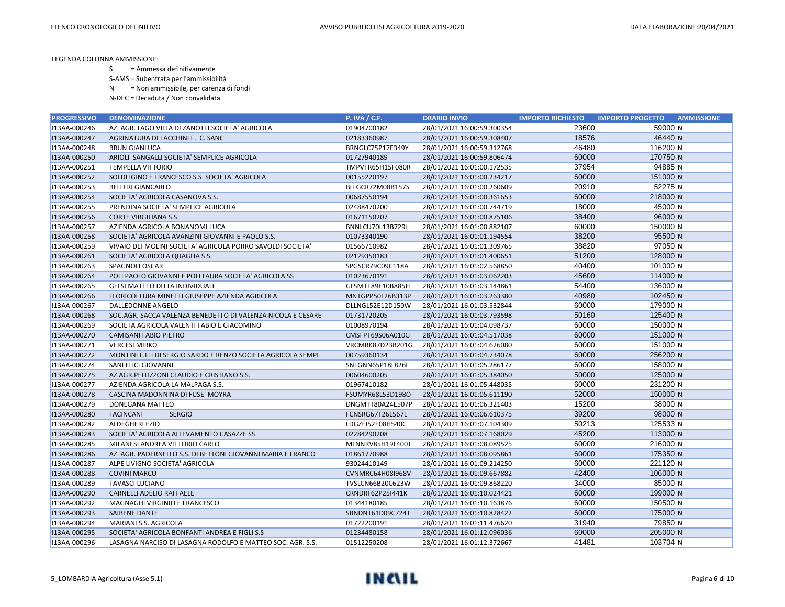S = Ammessa definitivamente

S-AMS = Subentrata per l'ammissibilità

N = Non ammissibile, per carenza di fondi

| <b>PROGRESSIVO</b> | <b>DENOMINAZIONE</b>                                         | <b>P. IVA / C.F.</b> | <b>ORARIO INVIO</b>        | <b>IMPORTO RICHIESTO</b> | <b>IMPORTO PROGETTO</b><br><b>AMMISSIONE</b> |
|--------------------|--------------------------------------------------------------|----------------------|----------------------------|--------------------------|----------------------------------------------|
| I13AA-000246       | AZ. AGR. LAGO VILLA DI ZANOTTI SOCIETA' AGRICOLA             | 01904700182          | 28/01/2021 16:00:59.300354 | 23600                    | 59000 N                                      |
| I13AA-000247       | AGRINATURA DI FACCHINI F. C. SANC                            | 02183360987          | 28/01/2021 16:00:59.308407 | 18576                    | 46440 N                                      |
| I13AA-000248       | <b>BRUN GIANLUCA</b>                                         | BRNGLC75P17E349Y     | 28/01/2021 16:00:59.312768 | 46480                    | 116200 N                                     |
| I13AA-000250       | ARIOLI SANGALLI SOCIETA' SEMPLICE AGRICOLA                   | 01727940189          | 28/01/2021 16:00:59.806474 | 60000                    | 170750 N                                     |
| I13AA-000251       | <b>TEMPELLA VITTORIO</b>                                     | TMPVTR65H15F080R     | 28/01/2021 16:01:00.172535 | 37954                    | 94885N                                       |
| I13AA-000252       | SOLDI IGINO E FRANCESCO S.S. SOCIETA' AGRICOLA               | 00155220197          | 28/01/2021 16:01:00.234217 | 60000                    | 151000 N                                     |
| I13AA-000253       | <b>BELLERI GIANCARLO</b>                                     | BLLGCR72M08B157S     | 28/01/2021 16:01:00.260609 | 20910                    | 52275 N                                      |
| I13AA-000254       | SOCIETA' AGRICOLA CASANOVA S.S.                              | 00687550194          | 28/01/2021 16:01:00.361653 | 60000                    | 218000 N                                     |
| I13AA-000255       | PRENDINA SOCIETA' SEMPLICE AGRICOLA                          | 02488470200          | 28/01/2021 16:01:00.744719 | 18000                    | 45000 N                                      |
| I13AA-000256       | <b>CORTE VIRGILIANA S.S.</b>                                 | 01671150207          | 28/01/2021 16:01:00.875106 | 38400                    | 96000 N                                      |
| I13AA-000257       | AZIENDA AGRICOLA BONANOMI LUCA                               | BNNLCU70L13B729J     | 28/01/2021 16:01:00.882107 | 60000                    | 150000 N                                     |
| I13AA-000258       | SOCIETA' AGRICOLA AVANZINI GIOVANNI E PAOLO S.S.             | 01073340190          | 28/01/2021 16:01:01.194554 | 38200                    | 95500 N                                      |
| I13AA-000259       | VIVAIO DEI MOLINI SOCIETA' AGRICOLA PORRO SAVOLDI SOCIETA'   | 01566710982          | 28/01/2021 16:01:01.309765 | 38820                    | 97050 N                                      |
| I13AA-000261       | SOCIETA' AGRICOLA QUAGLIA S.S.                               | 02129350183          | 28/01/2021 16:01:01.400651 | 51200                    | 128000 N                                     |
| I13AA-000263       | <b>SPAGNOLI OSCAR</b>                                        | SPGSCR79C09C118A     | 28/01/2021 16:01:02.568850 | 40400                    | 101000 N                                     |
| I13AA-000264       | POLI PAOLO GIOVANNI E POLI LAURA SOCIETA' AGRICOLA SS        | 01023670191          | 28/01/2021 16:01:03.062203 | 45600                    | 114000 N                                     |
| I13AA-000265       | <b>GELSI MATTEO DITTA INDIVIDUALE</b>                        | GLSMTT89E10B885H     | 28/01/2021 16:01:03.144861 | 54400                    | 136000 N                                     |
| I13AA-000266       | FLORICOLTURA MINETTI GIUSEPPE AZIENDA AGRICOLA               | MNTGPP50L26B313P     | 28/01/2021 16:01:03.263380 | 40980                    | 102450 N                                     |
| I13AA-000267       | DALLEDONNE ANGELO                                            | DLLNGL52E12D150W     | 28/01/2021 16:01:03.532844 | 60000                    | 179000 N                                     |
| I13AA-000268       | SOC.AGR. SACCA VALENZA BENEDETTO DI VALENZA NICOLA E CESARE  | 01731720205          | 28/01/2021 16:01:03.793598 | 50160                    | 125400 N                                     |
| I13AA-000269       | SOCIETA AGRICOLA VALENTI FABIO E GIACOMINO                   | 01008970194          | 28/01/2021 16:01:04.098737 | 60000                    | 150000 N                                     |
| I13AA-000270       | CAMISANI FABIO PIETRO                                        | CMSFPT69S06A010G     | 28/01/2021 16:01:04.517038 | 60000                    | 151000 N                                     |
| I13AA-000271       | <b>VERCESI MIRKO</b>                                         | VRCMRK87D23B201G     | 28/01/2021 16:01:04.626080 | 60000                    | 151000 N                                     |
| I13AA-000272       | MONTINI F.LLI DI SERGIO SARDO E RENZO SOCIETA AGRICOLA SEMPL | 00759360134          | 28/01/2021 16:01:04.734078 | 60000                    | 256200 N                                     |
| I13AA-000274       | SANFELICI GIOVANNI                                           | SNFGNN65P18L826L     | 28/01/2021 16:01:05.286177 | 60000                    | 158000 N                                     |
| I13AA-000275       | AZ.AGR.PELLIZZONI CLAUDIO E CRISTIANO S.S.                   | 00604600205          | 28/01/2021 16:01:05.384050 | 50000                    | 125000 N                                     |
| I13AA-000277       | AZIENDA AGRICOLA LA MALPAGA S.S.                             | 01967410182          | 28/01/2021 16:01:05.448035 | 60000                    | 231200 N                                     |
| I13AA-000278       | CASCINA MADONNINA DI FUSE' MOYRA                             | FSUMYR68L53D198O     | 28/01/2021 16:01:05.611190 | 52000                    | 150000 N                                     |
| I13AA-000279       | <b>DONEGANA MATTEO</b>                                       | DNGMTT80A24E507P     | 28/01/2021 16:01:06.321403 | 15200                    | 38000 N                                      |
| I13AA-000280       | <b>FACINCANI</b><br><b>SERGIO</b>                            | FCNSRG67T26L567L     | 28/01/2021 16:01:06.610375 | 39200                    | 98000 N                                      |
| I13AA-000282       | ALDEGHERI EZIO                                               | LDGZEI52E08H540C     | 28/01/2021 16:01:07.104309 | 50213                    | 125533 N                                     |
| I13AA-000283       | SOCIETA' AGRICOLA ALLEVAMENTO CASAZZE SS                     | 02284290208          | 28/01/2021 16:01:07.168029 | 45200                    | 113000 N                                     |
| I13AA-000285       | MILANESI ANDREA VITTORIO CARLO                               | MLNNRV85H19L400T     | 28/01/2021 16:01:08.089525 | 60000                    | 216000 N                                     |
| I13AA-000286       | AZ. AGR. PADERNELLO S.S. DI BETTONI GIOVANNI MARIA E FRANCO  | 01861770988          | 28/01/2021 16:01:08.095861 | 60000                    | 175350 N                                     |
| I13AA-000287       | ALPE LIVIGNO SOCIETA' AGRICOLA                               | 93024410149          | 28/01/2021 16:01:09.214250 | 60000                    | 221120 N                                     |
| I13AA-000288       | <b>COVINI MARCO</b>                                          | CVNMRC64H08I968V     | 28/01/2021 16:01:09.667882 | 42400                    | 106000 N                                     |
| I13AA-000289       | <b>TAVASCI LUCIANO</b>                                       | TVSLCN66B20C623W     | 28/01/2021 16:01:09.868220 | 34000                    | 85000 N                                      |
| I13AA-000290       | <b>CARNELLI ADELIO RAFFAELE</b>                              | CRNDRF62P25I441K     | 28/01/2021 16:01:10.024421 | 60000                    | 199000 N                                     |
| I13AA-000292       | MAGNAGHI VIRGINIO E FRANCESCO                                | 01344180185          | 28/01/2021 16:01:10.163876 | 60000                    | 150500 N                                     |
| I13AA-000293       | SAIBENE DANTE                                                | SBNDNT61D09C724T     | 28/01/2021 16:01:10.828422 | 60000                    | 175000 N                                     |
| I13AA-000294       | MARIANI S.S. AGRICOLA                                        | 01722200191          | 28/01/2021 16:01:11.476620 | 31940                    | 79850 N                                      |
| I13AA-000295       | SOCIETA' AGRICOLA BONFANTI ANDREA E FIGLI S.S.               | 01234480158          | 28/01/2021 16:01:12.096036 | 60000                    | 205000 N                                     |
| I13AA-000296       | LASAGNA NARCISO DI LASAGNA RODOLFO E MATTEO SOC. AGR. S.S.   | 01512250208          | 28/01/2021 16:01:12.372667 | 41481                    | 103704 N                                     |

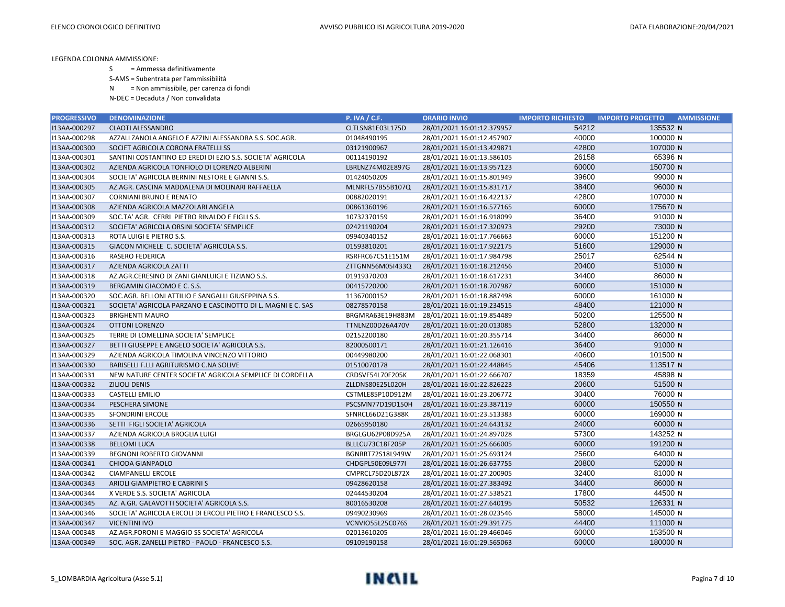S = Ammessa definitivamente

S-AMS = Subentrata per l'ammissibilità

N = Non ammissibile, per carenza di fondi

| <b>PROGRESSIVO</b> | <b>DENOMINAZIONE</b>                                        | <b>P. IVA / C.F.</b> | <b>ORARIO INVIO</b>        | <b>IMPORTO RICHIESTO</b> | <b>AMMISSIONE</b><br><b>IMPORTO PROGETTO</b> |
|--------------------|-------------------------------------------------------------|----------------------|----------------------------|--------------------------|----------------------------------------------|
| I13AA-000297       | <b>CLAOTI ALESSANDRO</b>                                    | CLTLSN81E03L175D     | 28/01/2021 16:01:12.379957 | 54212                    | 135532 N                                     |
| I13AA-000298       | AZZALI ZANOLA ANGELO E AZZINI ALESSANDRA S.S. SOC.AGR.      | 01048490195          | 28/01/2021 16:01:12.457907 | 40000                    | 100000 N                                     |
| I13AA-000300       | SOCIET AGRICOLA CORONA FRATELLI SS                          | 03121900967          | 28/01/2021 16:01:13.429871 | 42800                    | 107000 N                                     |
| I13AA-000301       | SANTINI COSTANTINO ED EREDI DI EZIO S.S. SOCIETA' AGRICOLA  | 00114190192          | 28/01/2021 16:01:13.586105 | 26158                    | 65396 N                                      |
| I13AA-000302       | AZIENDA AGRICOLA TONFIOLO DI LORENZO ALBERINI               | LBRLNZ74M02E897G     | 28/01/2021 16:01:13.957123 | 60000                    | 150700 N                                     |
| I13AA-000304       | SOCIETA' AGRICOLA BERNINI NESTORE E GIANNI S.S.             | 01424050209          | 28/01/2021 16:01:15.801949 | 39600                    | 99000 N                                      |
| I13AA-000305       | AZ.AGR. CASCINA MADDALENA DI MOLINARI RAFFAELLA             | MLNRFL57B55B107Q     | 28/01/2021 16:01:15.831717 | 38400                    | 96000 N                                      |
| I13AA-000307       | <b>CORNIANI BRUNO E RENATO</b>                              | 00882020191          | 28/01/2021 16:01:16.422137 | 42800                    | 107000 N                                     |
| I13AA-000308       | AZIENDA AGRICOLA MAZZOLARI ANGELA                           | 00861360196          | 28/01/2021 16:01:16.577165 | 60000                    | 175670 N                                     |
| I13AA-000309       | SOC.TA' AGR. CERRI PIETRO RINALDO E FIGLI S.S.              | 10732370159          | 28/01/2021 16:01:16.918099 | 36400                    | 91000 N                                      |
| I13AA-000312       | SOCIETA' AGRICOLA ORSINI SOCIETA' SEMPLICE                  | 02421190204          | 28/01/2021 16:01:17.320973 | 29200                    | 73000 N                                      |
| I13AA-000313       | ROTA LUIGI E PIETRO S.S.                                    | 09940340152          | 28/01/2021 16:01:17.766663 | 60000                    | 151200 N                                     |
| I13AA-000315       | GIACON MICHELE C. SOCIETA' AGRICOLA S.S.                    | 01593810201          | 28/01/2021 16:01:17.922175 | 51600                    | 129000 N                                     |
| I13AA-000316       | <b>RASERO FEDERICA</b>                                      | RSRFRC67C51E151M     | 28/01/2021 16:01:17.984798 | 25017                    | 62544 N                                      |
| I13AA-000317       | AZIENDA AGRICOLA ZATTI                                      | ZTTGNN56M05I433Q     | 28/01/2021 16:01:18.212456 | 20400                    | 51000 N                                      |
| I13AA-000318       | AZ.AGR.CERESINO DI ZANI GIANLUIGI E TIZIANO S.S.            | 01919370203          | 28/01/2021 16:01:18.617231 | 34400                    | 86000 N                                      |
| I13AA-000319       | BERGAMIN GIACOMO E C. S.S.                                  | 00415720200          | 28/01/2021 16:01:18.707987 | 60000                    | 151000 N                                     |
| I13AA-000320       | SOC.AGR. BELLONI ATTILIO E SANGALLI GIUSEPPINA S.S.         | 11367000152          | 28/01/2021 16:01:18.887498 | 60000                    | 161000 N                                     |
| I13AA-000321       | SOCIETA' AGRICOLA PARZANO E CASCINOTTO DI L. MAGNI E C. SAS | 08278570158          | 28/01/2021 16:01:19.234515 | 48400                    | 121000 N                                     |
| I13AA-000323       | <b>BRIGHENTI MAURO</b>                                      | BRGMRA63E19H883M     | 28/01/2021 16:01:19.854489 | 50200                    | 125500 N                                     |
| I13AA-000324       | <b>OTTONI LORENZO</b>                                       | TTNLNZ00D26A470V     | 28/01/2021 16:01:20.013085 | 52800                    | 132000 N                                     |
| I13AA-000325       | TERRE DI LOMELLINA SOCIETA' SEMPLICE                        | 02152200180          | 28/01/2021 16:01:20.355714 | 34400                    | 86000 N                                      |
| I13AA-000327       | BETTI GIUSEPPE E ANGELO SOCIETA' AGRICOLA S.S.              | 82000500171          | 28/01/2021 16:01:21.126416 | 36400                    | 91000 N                                      |
| I13AA-000329       | AZIENDA AGRICOLA TIMOLINA VINCENZO VITTORIO                 | 00449980200          | 28/01/2021 16:01:22.068301 | 40600                    | 101500 N                                     |
| I13AA-000330       | BARISELLI F.LLI AGRITURISMO C.NA SOLIVE                     | 01510070178          | 28/01/2021 16:01:22.448845 | 45406                    | 113517 N                                     |
| I13AA-000331       | NEW NATURE CENTER SOCIETA' AGRICOLA SEMPLICE DI CORDELLA    | CRDSVF54L70F205K     | 28/01/2021 16:01:22.666707 | 18359                    | 45898 N                                      |
| I13AA-000332       | <b>ZILIOLI DENIS</b>                                        | ZLLDNS80E25L020H     | 28/01/2021 16:01:22.826223 | 20600                    | 51500 N                                      |
| I13AA-000333       | <b>CASTELLI EMILIO</b>                                      | CSTMLE85P10D912M     | 28/01/2021 16:01:23.206772 | 30400                    | 76000 N                                      |
| I13AA-000334       | PESCHERA SIMONE                                             | PSCSMN77D19D150H     | 28/01/2021 16:01:23.387119 | 60000                    | 150550 N                                     |
| I13AA-000335       | <b>SFONDRINI ERCOLE</b>                                     | SFNRCL66D21G388K     | 28/01/2021 16:01:23.513383 | 60000                    | 169000 N                                     |
| I13AA-000336       | SETTI FIGLI SOCIETA' AGRICOLA                               | 02665950180          | 28/01/2021 16:01:24.643132 | 24000                    | 60000 N                                      |
| I13AA-000337       | AZIENDA AGRICOLA BROGLIA LUIGI                              | BRGLGU62P08D925A     | 28/01/2021 16:01:24.897028 | 57300                    | 143252 N                                     |
| I13AA-000338       | <b>BELLOMI LUCA</b>                                         | BLLLCU73C18F205P     | 28/01/2021 16:01:25.666005 | 60000                    | 191200 N                                     |
| I13AA-000339       | BEGNONI ROBERTO GIOVANNI                                    | BGNRRT72S18L949W     | 28/01/2021 16:01:25.693124 | 25600                    | 64000 N                                      |
| I13AA-000341       | <b>CHIODA GIANPAOLO</b>                                     | CHDGPL50E09L977I     | 28/01/2021 16:01:26.637755 | 20800                    | 52000 N                                      |
| I13AA-000342       | <b>CIAMPANELLI ERCOLE</b>                                   | CMPRCL75D20L872X     | 28/01/2021 16:01:27.200905 | 32400                    | 81000 N                                      |
| I13AA-000343       | ARIOLI GIAMPIETRO E CABRINI S                               | 09428620158          | 28/01/2021 16:01:27.383492 | 34400                    | 86000 N                                      |
| I13AA-000344       | X VERDE S.S. SOCIETA' AGRICOLA                              | 02444530204          | 28/01/2021 16:01:27.538521 | 17800                    | 44500 N                                      |
| I13AA-000345       | AZ. A.GR. GALAVOTTI SOCIETA' AGRICOLA S.S.                  | 80016530208          | 28/01/2021 16:01:27.640195 | 50532                    | 126331 N                                     |
| I13AA-000346       | SOCIETA' AGRICOLA ERCOLI DI ERCOLI PIETRO E FRANCESCO S.S.  | 09490230969          | 28/01/2021 16:01:28.023546 | 58000                    | 145000 N                                     |
| I13AA-000347       | <b>VICENTINI IVO</b>                                        | VCNVIO55L25C076S     | 28/01/2021 16:01:29.391775 | 44400                    | 111000 N                                     |
| I13AA-000348       | AZ.AGR.FORONI E MAGGIO SS SOCIETA' AGRICOLA                 | 02013610205          | 28/01/2021 16:01:29.466046 | 60000                    | 153500 N                                     |
| I13AA-000349       | SOC. AGR. ZANELLI PIETRO - PAOLO - FRANCESCO S.S.           | 09109190158          | 28/01/2021 16:01:29.565063 | 60000                    | 180000 N                                     |

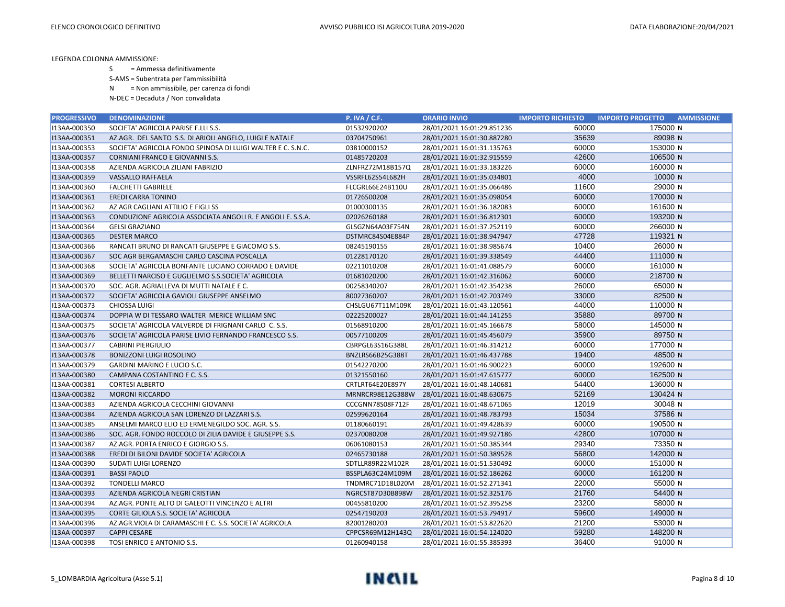S = Ammessa definitivamente

S-AMS = Subentrata per l'ammissibilità

N = Non ammissibile, per carenza di fondi

| <b>PROGRESSIVO</b> | <b>DENOMINAZIONE</b>                                        | <b>P. IVA / C.F.</b> | <b>ORARIO INVIO</b>        | <b>IMPORTO RICHIESTO</b> | <b>IMPORTO PROGETTO</b><br><b>AMMISSIONE</b> |
|--------------------|-------------------------------------------------------------|----------------------|----------------------------|--------------------------|----------------------------------------------|
| I13AA-000350       | SOCIETA' AGRICOLA PARISE F.LLI S.S.                         | 01532920202          | 28/01/2021 16:01:29.851236 | 60000                    | 175000 N                                     |
| I13AA-000351       | AZ.AGR. DEL SANTO S.S. DI ARIOLI ANGELO, LUIGI E NATALE     | 03704750961          | 28/01/2021 16:01:30.887280 | 35639                    | 89098 N                                      |
| I13AA-000353       | SOCIETA' AGRICOLA FONDO SPINOSA DI LUIGI WALTER E C. S.N.C. | 03810000152          | 28/01/2021 16:01:31.135763 | 60000                    | 153000 N                                     |
| I13AA-000357       | CORNIANI FRANCO E GIOVANNI S.S.                             | 01485720203          | 28/01/2021 16:01:32.915559 | 42600                    | 106500 N                                     |
| I13AA-000358       | AZIENDA AGRICOLA ZILIANI FABRIZIO                           | ZLNFRZ72M18B157Q     | 28/01/2021 16:01:33.183226 | 60000                    | 160000 N                                     |
| I13AA-000359       | <b>VASSALLO RAFFAELA</b>                                    | VSSRFL62S54L682H     | 28/01/2021 16:01:35.034801 | 4000                     | 10000 N                                      |
| I13AA-000360       | <b>FALCHETTI GABRIELE</b>                                   | FLCGRL66E24B110U     | 28/01/2021 16:01:35.066486 | 11600                    | 29000 N                                      |
| I13AA-000361       | <b>EREDI CARRA TONINO</b>                                   | 01726500208          | 28/01/2021 16:01:35.098054 | 60000                    | 170000 N                                     |
| I13AA-000362       | AZ AGR CAGLIANI ATTILIO E FIGLI SS                          | 01000300135          | 28/01/2021 16:01:36.182083 | 60000                    | 161600 N                                     |
| I13AA-000363       | CONDUZIONE AGRICOLA ASSOCIATA ANGOLI R. E ANGOLI E. S.S.A.  | 02026260188          | 28/01/2021 16:01:36.812301 | 60000                    | 193200 N                                     |
| I13AA-000364       | <b>GELSI GRAZIANO</b>                                       | GLSGZN64A03F754N     | 28/01/2021 16:01:37.252119 | 60000                    | 266000 N                                     |
| I13AA-000365       | <b>DESTER MARCO</b>                                         | DSTMRC84S04E884P     | 28/01/2021 16:01:38.947947 | 47728                    | 119321 N                                     |
| I13AA-000366       | RANCATI BRUNO DI RANCATI GIUSEPPE E GIACOMO S.S.            | 08245190155          | 28/01/2021 16:01:38.985674 | 10400                    | 26000 N                                      |
| I13AA-000367       | SOC AGR BERGAMASCHI CARLO CASCINA POSCALLA                  | 01228170120          | 28/01/2021 16:01:39.338549 | 44400                    | 111000 N                                     |
| I13AA-000368       | SOCIETA' AGRICOLA BONFANTE LUCIANO CORRADO E DAVIDE         | 02211010208          | 28/01/2021 16:01:41.088579 | 60000                    | 161000 N                                     |
| I13AA-000369       | BELLETTI NARCISO E GUGLIELMO S.S.SOCIETA' AGRICOLA          | 01681020200          | 28/01/2021 16:01:42.316062 | 60000                    | 218700 N                                     |
| I13AA-000370       | SOC. AGR. AGRIALLEVA DI MUTTI NATALE E C.                   | 00258340207          | 28/01/2021 16:01:42.354238 | 26000                    | 65000 N                                      |
| I13AA-000372       | SOCIETA' AGRICOLA GAVIOLI GIUSEPPE ANSELMO                  | 80027360207          | 28/01/2021 16:01:42.703749 | 33000                    | 82500 N                                      |
| I13AA-000373       | <b>CHIOSSA LUIGI</b>                                        | CHSLGU67T11M109K     | 28/01/2021 16:01:43.120561 | 44000                    | 110000 N                                     |
| I13AA-000374       | DOPPIA W DI TESSARO WALTER MERICE WILLIAM SNC               | 02225200027          | 28/01/2021 16:01:44.141255 | 35880                    | 89700 N                                      |
| I13AA-000375       | SOCIETA' AGRICOLA VALVERDE DI FRIGNANI CARLO C. S.S.        | 01568910200          | 28/01/2021 16:01:45.166678 | 58000                    | 145000 N                                     |
| I13AA-000376       | SOCIETA' AGRICOLA PARISE LIVIO FERNANDO FRANCESCO S.S.      | 00577100209          | 28/01/2021 16:01:45.456079 | 35900                    | 89750 N                                      |
| I13AA-000377       | <b>CABRINI PIERGIULIO</b>                                   | CBRPGL63S16G388L     | 28/01/2021 16:01:46.314212 | 60000                    | 177000 N                                     |
| I13AA-000378       | <b>BONIZZONI LUIGI ROSOLINO</b>                             | BNZLRS66B25G388T     | 28/01/2021 16:01:46.437788 | 19400                    | 48500 N                                      |
| I13AA-000379       | GARDINI MARINO E LUCIO S.C.                                 | 01542270200          | 28/01/2021 16:01:46.900223 | 60000                    | 192600 N                                     |
| I13AA-000380       | CAMPANA COSTANTINO E C. S.S.                                | 01321550160          | 28/01/2021 16:01:47.615777 | 60000                    | 162500 N                                     |
| I13AA-000381       | <b>CORTESI ALBERTO</b>                                      | CRTLRT64E20E897Y     | 28/01/2021 16:01:48.140681 | 54400                    | 136000 N                                     |
| I13AA-000382       | <b>MORONI RICCARDO</b>                                      | MRNRCR98E12G388W     | 28/01/2021 16:01:48.630675 | 52169                    | 130424 N                                     |
| I13AA-000383       | AZIENDA AGRICOLA CECCHINI GIOVANNI                          | CCCGNN78S08F712F     | 28/01/2021 16:01:48.671065 | 12019                    | 30048 N                                      |
| I13AA-000384       | AZIENDA AGRICOLA SAN LORENZO DI LAZZARI S.S.                | 02599620164          | 28/01/2021 16:01:48.783793 | 15034                    | 37586 N                                      |
| I13AA-000385       | ANSELMI MARCO ELIO ED ERMENEGILDO SOC. AGR. S.S.            | 01180660191          | 28/01/2021 16:01:49.428639 | 60000                    | 190500 N                                     |
| I13AA-000386       | SOC. AGR. FONDO ROCCOLO DI ZILIA DAVIDE E GIUSEPPE S.S.     | 02370080208          | 28/01/2021 16:01:49.927186 | 42800                    | 107000 N                                     |
| I13AA-000387       | AZ.AGR. PORTA ENRICO E GIORGIO S.S.                         | 06061080153          | 28/01/2021 16:01:50.385344 | 29340                    | 73350 N                                      |
| I13AA-000388       | EREDI DI BILONI DAVIDE SOCIETA' AGRICOLA                    | 02465730188          | 28/01/2021 16:01:50.389528 | 56800                    | 142000 N                                     |
| I13AA-000390       | SUDATI LUIGI LORENZO                                        | SDTLLR89R22M102R     | 28/01/2021 16:01:51.530492 | 60000                    | 151000 N                                     |
| I13AA-000391       | <b>BASSI PAOLO</b>                                          | BSSPLA63C24M109M     | 28/01/2021 16:01:52.186262 | 60000                    | 161200 N                                     |
| I13AA-000392       | <b>TONDELLI MARCO</b>                                       | TNDMRC71D18L020M     | 28/01/2021 16:01:52.271341 | 22000                    | 55000 N                                      |
| I13AA-000393       | AZIENDA AGRICOLA NEGRI CRISTIAN                             | NGRCST87D30B898W     | 28/01/2021 16:01:52.325176 | 21760                    | 54400 N                                      |
| I13AA-000394       | AZ.AGR. PONTE ALTO DI GALEOTTI VINCENZO E ALTRI             | 00455810200          | 28/01/2021 16:01:52.395258 | 23200                    | 58000 N                                      |
| I13AA-000395       | CORTE GILIOLA S.S. SOCIETA' AGRICOLA                        | 02547190203          | 28/01/2021 16:01:53.794917 | 59600                    | 149000 N                                     |
| I13AA-000396       | AZ.AGR.VIOLA DI CARAMASCHI E C. S.S. SOCIETA' AGRICOLA      | 82001280203          | 28/01/2021 16:01:53.822620 | 21200                    | 53000 N                                      |
| I13AA-000397       | <b>CAPPI CESARE</b>                                         | CPPCSR69M12H143Q     | 28/01/2021 16:01:54.124020 | 59280                    | 148200 N                                     |
| I13AA-000398       | TOSI ENRICO E ANTONIO S.S.                                  | 01260940158          | 28/01/2021 16:01:55.385393 | 36400                    | 91000 N                                      |

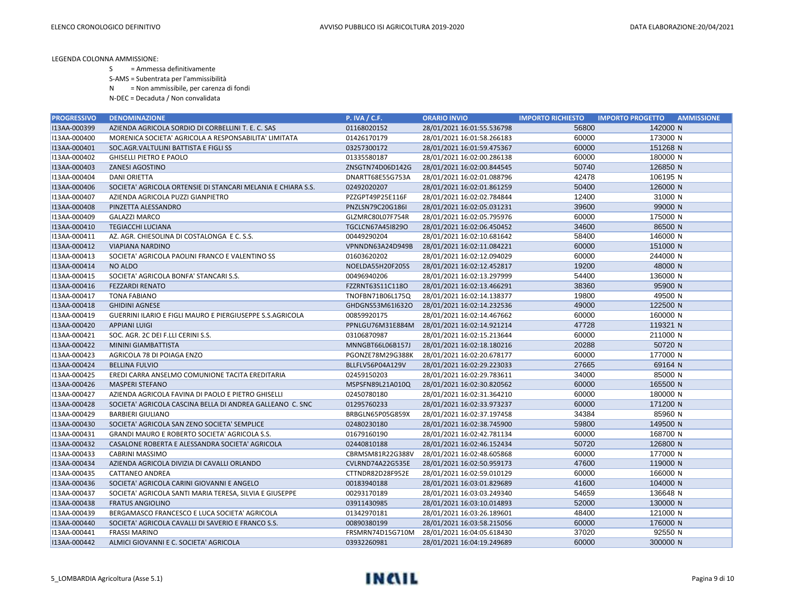S = Ammessa definitivamente

S-AMS = Subentrata per l'ammissibilità

N = Non ammissibile, per carenza di fondi

| <b>PROGRESSIVO</b> | <b>DENOMINAZIONE</b>                                             | <b>P. IVA / C.F.</b> | <b>ORARIO INVIO</b>        | <b>IMPORTO RICHIESTO</b> | <b>IMPORTO PROGETTO</b><br><b>AMMISSIONE</b> |
|--------------------|------------------------------------------------------------------|----------------------|----------------------------|--------------------------|----------------------------------------------|
| I13AA-000399       | AZIENDA AGRICOLA SORDIO DI CORBELLINI T. E. C. SAS               | 01168020152          | 28/01/2021 16:01:55.536798 | 56800                    | 142000 N                                     |
| I13AA-000400       | MORENICA SOCIETA' AGRICOLA A RESPONSABILITA' LIMITATA            | 01426170179          | 28/01/2021 16:01:58.266183 | 60000                    | 173000 N                                     |
| I13AA-000401       | SOC.AGR.VALTULINI BATTISTA E FIGLI SS                            | 03257300172          | 28/01/2021 16:01:59.475367 | 60000                    | 151268 N                                     |
| I13AA-000402       | <b>GHISELLI PIETRO E PAOLO</b>                                   | 01335580187          | 28/01/2021 16:02:00.286138 | 60000                    | 180000 N                                     |
| I13AA-000403       | ZANESI AGOSTINO                                                  | ZNSGTN74D06D142G     | 28/01/2021 16:02:00.844545 | 50740                    | 126850 N                                     |
| I13AA-000404       | <b>DANI ORIETTA</b>                                              | DNARTT68E55G753A     | 28/01/2021 16:02:01.088796 | 42478                    | 106195 N                                     |
| I13AA-000406       | SOCIETA' AGRICOLA ORTENSIE DI STANCARI MELANIA E CHIARA S.S.     | 02492020207          | 28/01/2021 16:02:01.861259 | 50400                    | 126000 N                                     |
| I13AA-000407       | AZIENDA AGRICOLA PUZZI GIANPIETRO                                | PZZGPT49P25E116F     | 28/01/2021 16:02:02.784844 | 12400                    | 31000 N                                      |
| I13AA-000408       | PINZETTA ALESSANDRO                                              | PNZLSN79C20G186I     | 28/01/2021 16:02:05.031231 | 39600                    | 99000 N                                      |
| I13AA-000409       | <b>GALAZZI MARCO</b>                                             | GLZMRC80L07F754R     | 28/01/2021 16:02:05.795976 | 60000                    | 175000 N                                     |
| I13AA-000410       | <b>TEGIACCHI LUCIANA</b>                                         | TGCLCN67A45I829O     | 28/01/2021 16:02:06.450452 | 34600                    | 86500 N                                      |
| I13AA-000411       | AZ. AGR. CHIESOLINA DI COSTALONGA E C. S.S.                      | 00449290204          | 28/01/2021 16:02:10.681642 | 58400                    | 146000 N                                     |
| I13AA-000412       | <b>VIAPIANA NARDINO</b>                                          | VPNNDN63A24D949B     | 28/01/2021 16:02:11.084221 | 60000                    | 151000 N                                     |
| I13AA-000413       | SOCIETA' AGRICOLA PAOLINI FRANCO E VALENTINO SS                  | 01603620202          | 28/01/2021 16:02:12.094029 | 60000                    | 244000 N                                     |
| I13AA-000414       | <b>NO ALDO</b>                                                   | NOELDA55H20F205S     | 28/01/2021 16:02:12.452817 | 19200                    | 48000 N                                      |
| I13AA-000415       | SOCIETA' AGRICOLA BONFA' STANCARI S.S.                           | 00496940206          | 28/01/2021 16:02:13.297999 | 54400                    | 136000 N                                     |
| I13AA-000416       | <b>FEZZARDI RENATO</b>                                           | FZZRNT63S11C118O     | 28/01/2021 16:02:13.466291 | 38360                    | 95900 N                                      |
| I13AA-000417       | <b>TONA FABIANO</b>                                              | TNOFBN71B06L175Q     | 28/01/2021 16:02:14.138377 | 19800                    | 49500 N                                      |
| I13AA-000418       | <b>GHIDINI AGNESE</b>                                            | GHDGNS53M61I632O     | 28/01/2021 16:02:14.232536 | 49000                    | 122500 N                                     |
| I13AA-000419       | <b>GUERRINI ILARIO E FIGLI MAURO E PIERGIUSEPPE S.S.AGRICOLA</b> | 00859920175          | 28/01/2021 16:02:14.467662 | 60000                    | 160000 N                                     |
| I13AA-000420       | <b>APPIANI LUIGI</b>                                             | PPNLGU76M31E884M     | 28/01/2021 16:02:14.921214 | 47728                    | 119321 N                                     |
| I13AA-000421       | SOC. AGR. 2C DEI F.LLI CERINI S.S.                               | 03106870987          | 28/01/2021 16:02:15.213644 | 60000                    | 211000 N                                     |
| I13AA-000422       | MININI GIAMBATTISTA                                              | MNNGBT66L06B157J     | 28/01/2021 16:02:18.180216 | 20288                    | 50720 N                                      |
| I13AA-000423       | AGRICOLA 78 DI POIAGA ENZO                                       | PGONZE78M29G388K     | 28/01/2021 16:02:20.678177 | 60000                    | 177000 N                                     |
| I13AA-000424       | <b>BELLINA FULVIO</b>                                            | BLLFLV56P04A129V     | 28/01/2021 16:02:29.223033 | 27665                    | 69164 N                                      |
| I13AA-000425       | EREDI CARRA ANSELMO COMUNIONE TACITA EREDITARIA                  | 02459150203          | 28/01/2021 16:02:29.783611 | 34000                    | 85000 N                                      |
| I13AA-000426       | <b>MASPERI STEFANO</b>                                           | MSPSFN89L21A010Q     | 28/01/2021 16:02:30.820562 | 60000                    | 165500 N                                     |
| I13AA-000427       | AZIENDA AGRICOLA FAVINA DI PAOLO E PIETRO GHISELLI               | 02450780180          | 28/01/2021 16:02:31.364210 | 60000                    | 180000 N                                     |
| I13AA-000428       | SOCIETA' AGRICOLA CASCINA BELLA DI ANDREA GALLEANO C. SNC        | 01295760233          | 28/01/2021 16:02:33.973237 | 60000                    | 171200 N                                     |
| I13AA-000429       | <b>BARBIERI GIULIANO</b>                                         | BRBGLN65P05G859X     | 28/01/2021 16:02:37.197458 | 34384                    | 85960 N                                      |
| I13AA-000430       | SOCIETA' AGRICOLA SAN ZENO SOCIETA' SEMPLICE                     | 02480230180          | 28/01/2021 16:02:38.745900 | 59800                    | 149500 N                                     |
| I13AA-000431       | GRANDI MAURO E ROBERTO SOCIETA' AGRICOLA S.S.                    | 01679160190          | 28/01/2021 16:02:42.781134 | 60000                    | 168700 N                                     |
| I13AA-000432       | CASALONE ROBERTA E ALESSANDRA SOCIETA' AGRICOLA                  | 02440810188          | 28/01/2021 16:02:46.152434 | 50720                    | 126800 N                                     |
| I13AA-000433       | <b>CABRINI MASSIMO</b>                                           | CBRMSM81R22G388V     | 28/01/2021 16:02:48.605868 | 60000                    | 177000 N                                     |
| I13AA-000434       | AZIENDA AGRICOLA DIVIZIA DI CAVALLI ORLANDO                      | CVLRND74A22G535E     | 28/01/2021 16:02:50.959173 | 47600                    | 119000 N                                     |
| I13AA-000435       | CATTANEO ANDREA                                                  | CTTNDR82D28F952E     | 28/01/2021 16:02:59.010129 | 60000                    | 166000 N                                     |
| I13AA-000436       | SOCIETA' AGRICOLA CARINI GIOVANNI E ANGELO                       | 00183940188          | 28/01/2021 16:03:01.829689 | 41600                    | 104000 N                                     |
| I13AA-000437       | SOCIETA' AGRICOLA SANTI MARIA TERESA, SILVIA E GIUSEPPE          | 00293170189          | 28/01/2021 16:03:03.249340 | 54659                    | 136648 N                                     |
| I13AA-000438       | <b>FRATUS ANGIOLINO</b>                                          | 03911430985          | 28/01/2021 16:03:10.014893 | 52000                    | 130000 N                                     |
| I13AA-000439       | BERGAMASCO FRANCESCO E LUCA SOCIETA' AGRICOLA                    | 01342970181          | 28/01/2021 16:03:26.189601 | 48400                    | 121000 N                                     |
| I13AA-000440       | SOCIETA' AGRICOLA CAVALLI DI SAVERIO E FRANCO S.S.               | 00890380199          | 28/01/2021 16:03:58.215056 | 60000                    | 176000 N                                     |
| I13AA-000441       | <b>FRASSI MARINO</b>                                             | FRSMRN74D15G710M     | 28/01/2021 16:04:05.618430 | 37020                    | 92550 N                                      |
| I13AA-000442       | ALMICI GIOVANNI E C. SOCIETA' AGRICOLA                           | 03932260981          | 28/01/2021 16:04:19.249689 | 60000                    | 300000 N                                     |